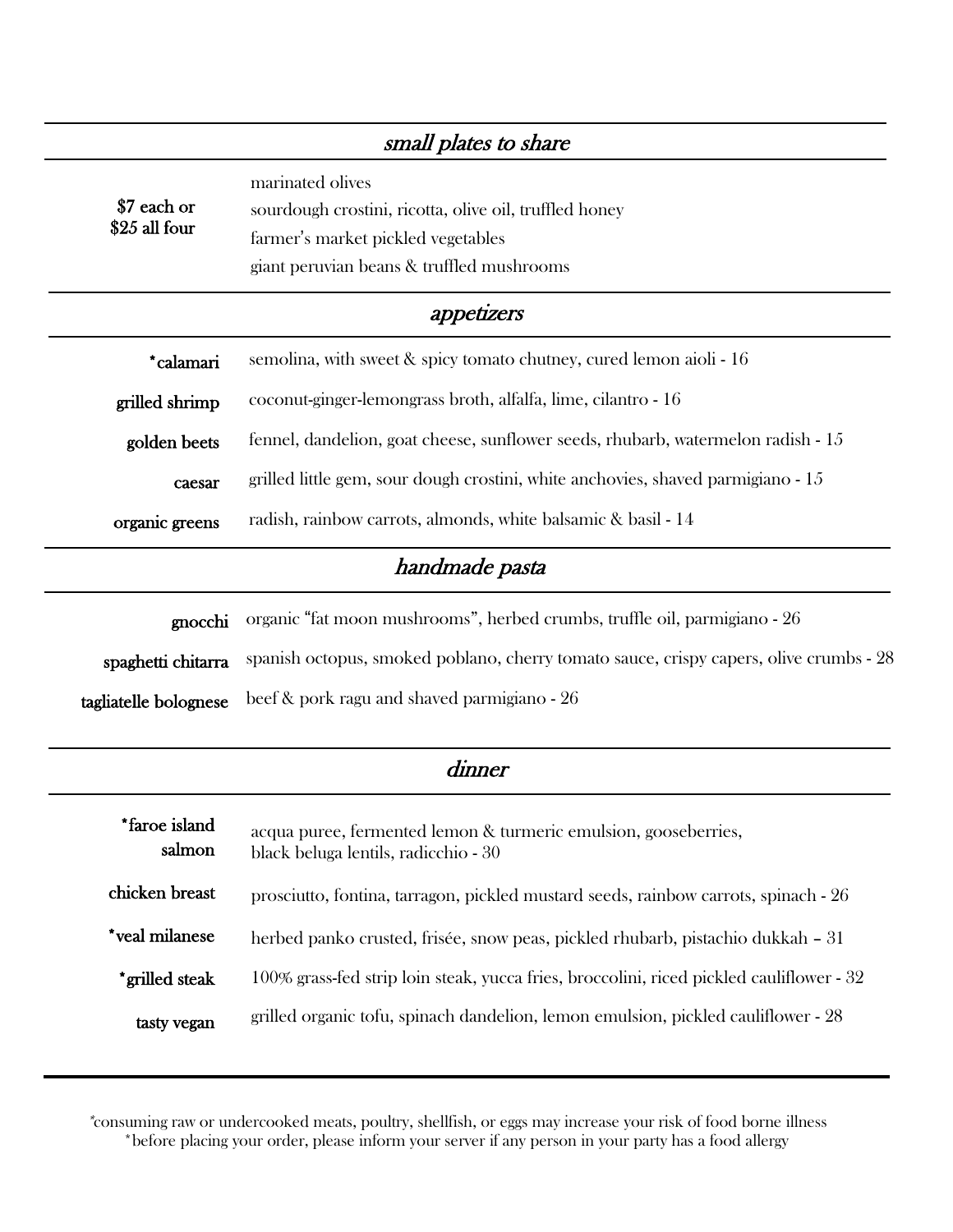|                              | small plates to share                                                                                                                                         |
|------------------------------|---------------------------------------------------------------------------------------------------------------------------------------------------------------|
| \$7 each or<br>\$25 all four | marinated olives<br>sourdough crostini, ricotta, olive oil, truffled honey<br>farmer's market pickled vegetables<br>giant peruvian beans & truffled mushrooms |
|                              | appetizers                                                                                                                                                    |
| *calamari                    | semolina, with sweet & spicy tomato chutney, cured lemon aioli - 16                                                                                           |
| grilled shrimp               | coconut-ginger-lemongrass broth, alfalfa, lime, cilantro - 16                                                                                                 |
| golden beets                 | fennel, dandelion, goat cheese, sunflower seeds, rhubarb, watermelon radish - 15                                                                              |
| caesar                       | grilled little gem, sour dough crostini, white anchovies, shaved parmigiano - 15                                                                              |
| organic greens               | radish, rainbow carrots, almonds, white balsamic & basil - 14                                                                                                 |
|                              | handmade pasta                                                                                                                                                |
| gnocchi                      | organic "fat moon mushrooms", herbed crumbs, truffle oil, parmigiano - 26                                                                                     |
| spaghetti chitarra           | spanish octopus, smoked poblano, cherry tomato sauce, crispy capers, olive crumbs - 28                                                                        |
| tagliatelle bolognese        | beef & pork ragu and shaved parmigiano - 26                                                                                                                   |
|                              | dinner                                                                                                                                                        |
| *faroe island<br>salmon      | acqua puree, fermented lemon & turmeric emulsion, gooseberries,<br>black beluga lentils, radicchio - 30                                                       |
| chicken breast               | prosciutto, fontina, tarragon, pickled mustard seeds, rainbow carrots, spinach - 26                                                                           |
| *veal milanese               | herbed panko crusted, frisée, snow peas, pickled rhubarb, pistachio dukkah - 31                                                                               |
| *grilled steak               | 100% grass-fed strip loin steak, yucca fries, broccolini, riced pickled cauliflower - 32                                                                      |
| tasty vegan                  | grilled organic tofu, spinach dandelion, lemon emulsion, pickled cauliflower - 28                                                                             |

\*consuming raw or undercooked meats, poultry, shellfish, or eggs may increase your risk of food borne illness \*before placing your order, please inform your server if any person in your party has a food allergy